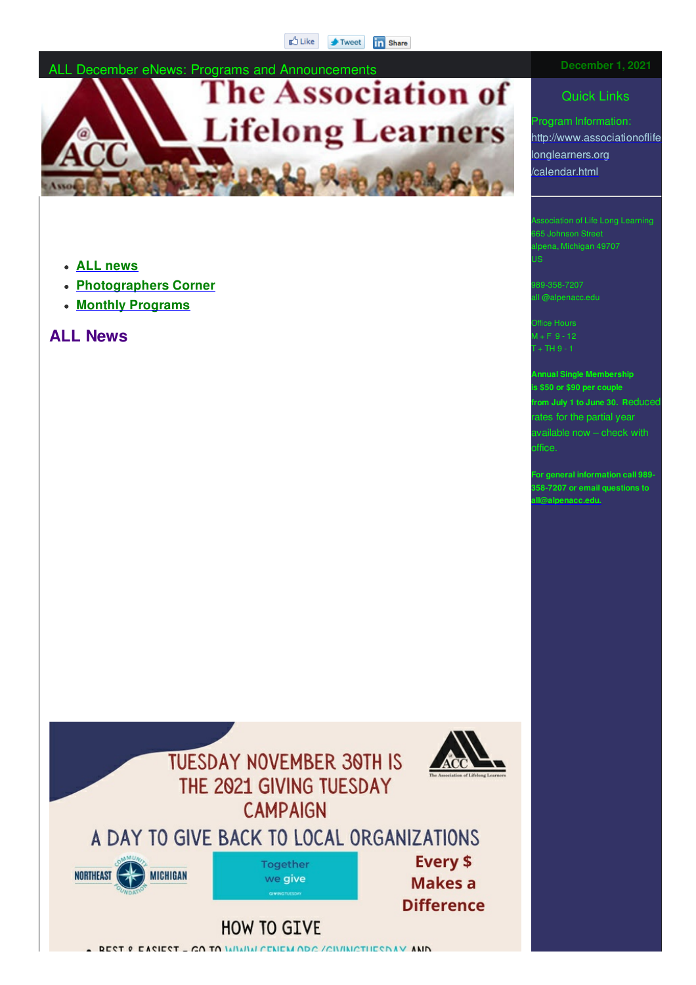#### **D** Like Tweet in Share



- **ALL news**
- **Photographers Corner**
- **Monthly Programs**

### **ALL News**

#### Quick Links

Program Information:

http://www.associationoflife longlearners.org /calendar.html

ssociation of Life Long Learning 665 Johnson Street pena, Michigan 49707 US

all @alpenacc.edu

ffice Hours  $+$  TH 9 - 1

**Annual Single Membership is \$50 or \$90 per couple from July 1 to June 30. R**educed ates for the partial year available now – check with office.

**For general information call 989- 358-7207 or email questions to all@alpenacc.edu.**

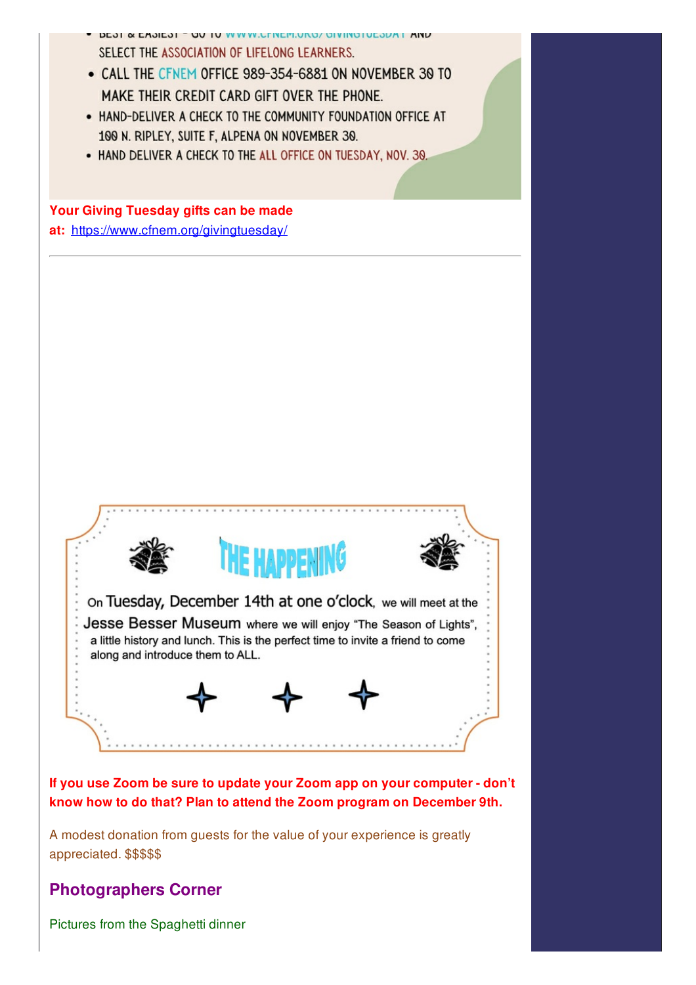

### **Photographers Corner**

Pictures from the Spaghetti dinner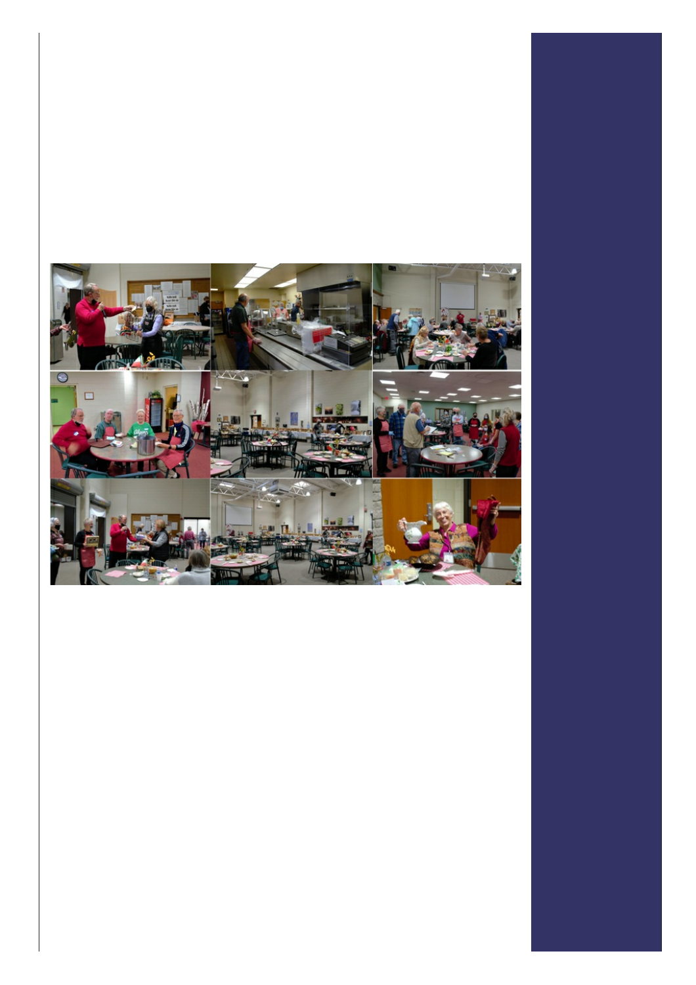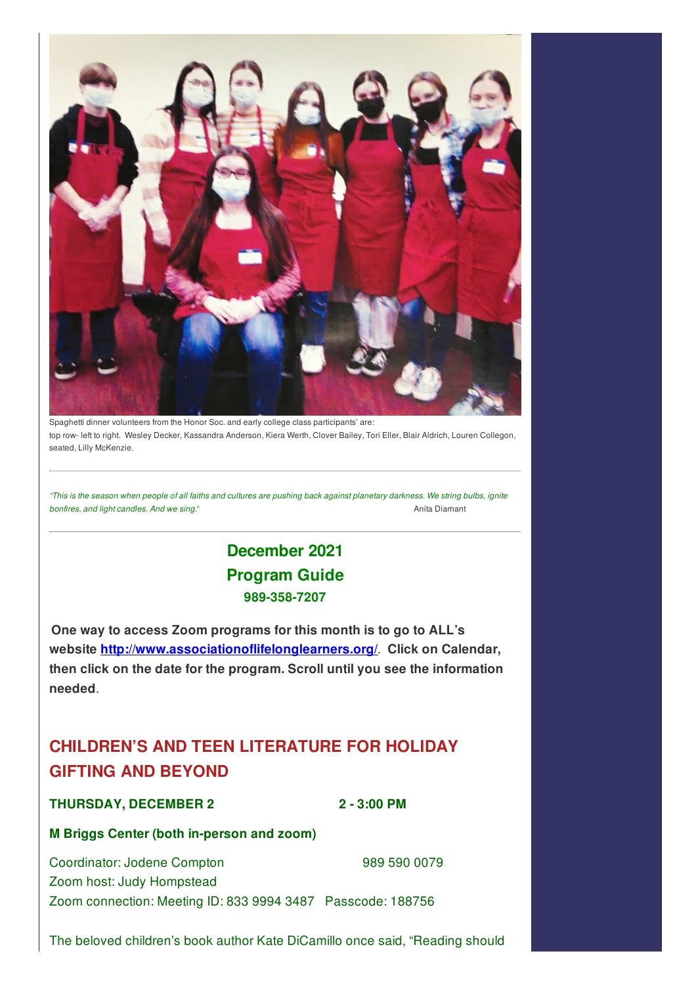

Spaghetti dinner volunteers from the Honor Soc. and early college class participants' are: top row- left to right. Wesley Decker, Kassandra Anderson, Kiera Werth, Clover Bailey, Tori Eller, Blair Aldrich, Louren Collegon, seated, Lilly McKenzie.

"This is the season when people of all faiths and cultures are pushing back against planetary darkness. We string bulbs, ignite *bonfires, and light candles. And we sing.* **"<br>
<b>Anita Diamant Anita Diamant Anita Diamant Anita Diamant Anita Diamant** 

# **December 2021 Program Guide 989-358-7207**

**One way to access Zoom programs for this month is to go to ALL's website http://www.associationoflifelonglearners.org/**. **Click on Calendar, then click on the date for the program. Scroll until you see the information needed**.

# **CHILDREN'S AND TEEN LITERATURE FOR HOLIDAY GIFTING AND BEYOND**

**THURSDAY, DECEMBER 2 2 - 3:00 PM**

### **M Briggs Center (both in-person and zoom)**

Coordinator: Jodene Compton 989 590 0079 Zoom host: Judy Hompstead Zoom connection: Meeting ID: 833 9994 3487 Passcode: 188756

The beloved children's book author Kate DiCamillo once said, "Reading should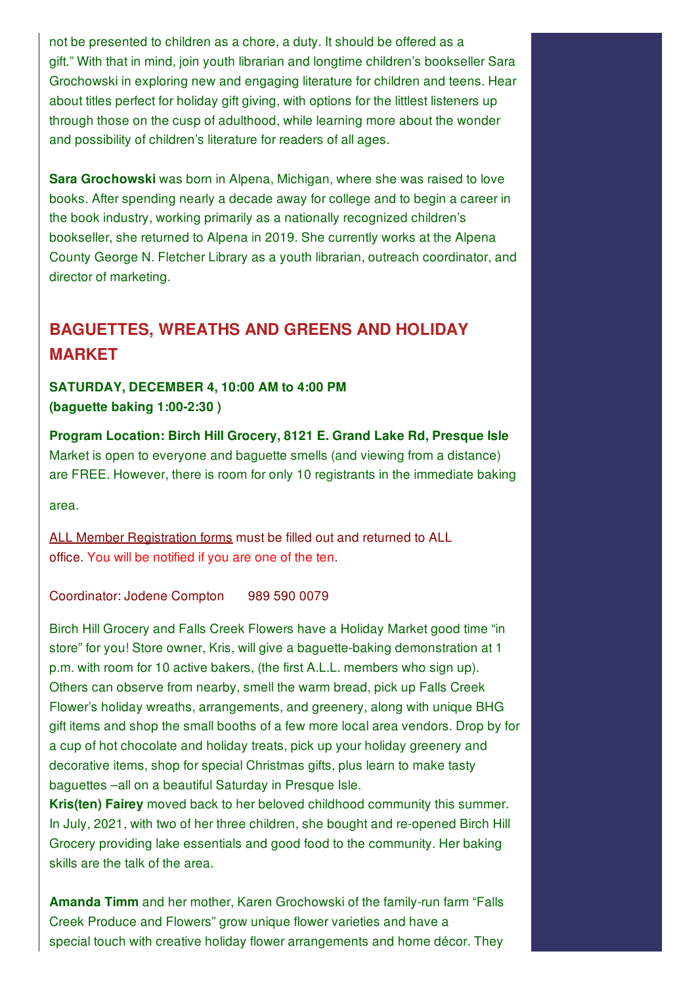not be presented to children as a chore, a duty. It should be offered as a gift." With that in mind, join youth librarian and longtime children's bookseller Sara Grochowski in exploring new and engaging literature for children and teens. Hear about titles perfect for holiday gift giving, with options for the littlest listeners up through those on the cusp of adulthood, while learning more about the wonder and possibility of children's literature for readers of all ages.

**Sara Grochowski** was born in Alpena, Michigan, where she was raised to love books. After spending nearly a decade away for college and to begin a career in the book industry, working primarily as a nationally recognized children's bookseller, she returned to Alpena in 2019. She currently works at the Alpena County George N. Fletcher Library as a youth librarian, outreach coordinator, and director of marketing.

# **BAGUETTES, WREATHS AND GREENS AND HOLIDAY MARKET**

**SATURDAY, DECEMBER 4, 10:00 AM to 4:00 PM (baguette baking 1:00-2:30 )**

**Program Location: Birch Hill Grocery, 8121 E. Grand Lake Rd, Presque Isle** Market is open to everyone and baguette smells (and viewing from a distance) are FREE. However, there is room for only 10 registrants in the immediate baking

area.

ALL Member Registration forms must be filled out and returned to ALL office. You will be notified if you are one of the ten.

Coordinator: Jodene Compton 989 590 0079

Birch Hill Grocery and Falls Creek Flowers have a Holiday Market good time "in store" for you! Store owner, Kris, will give a baguette-baking demonstration at 1 p.m. with room for 10 active bakers, (the first A.L.L. members who sign up). Others can observe from nearby, smell the warm bread, pick up Falls Creek Flower's holiday wreaths, arrangements, and greenery, along with unique BHG gift items and shop the small booths of a few more local area vendors. Drop by for a cup of hot chocolate and holiday treats, pick up your holiday greenery and decorative items, shop for special Christmas gifts, plus learn to make tasty baguettes –all on a beautiful Saturday in Presque Isle.

**Kris(ten) Fairey** moved back to her beloved childhood community this summer. In July, 2021, with two of her three children, she bought and re-opened Birch Hill Grocery providing lake essentials and good food to the community. Her baking skills are the talk of the area.

**Amanda Timm** and her mother, Karen Grochowski of the family-run farm "Falls Creek Produce and Flowers" grow unique flower varieties and have a special touch with creative holiday flower arrangements and home décor. They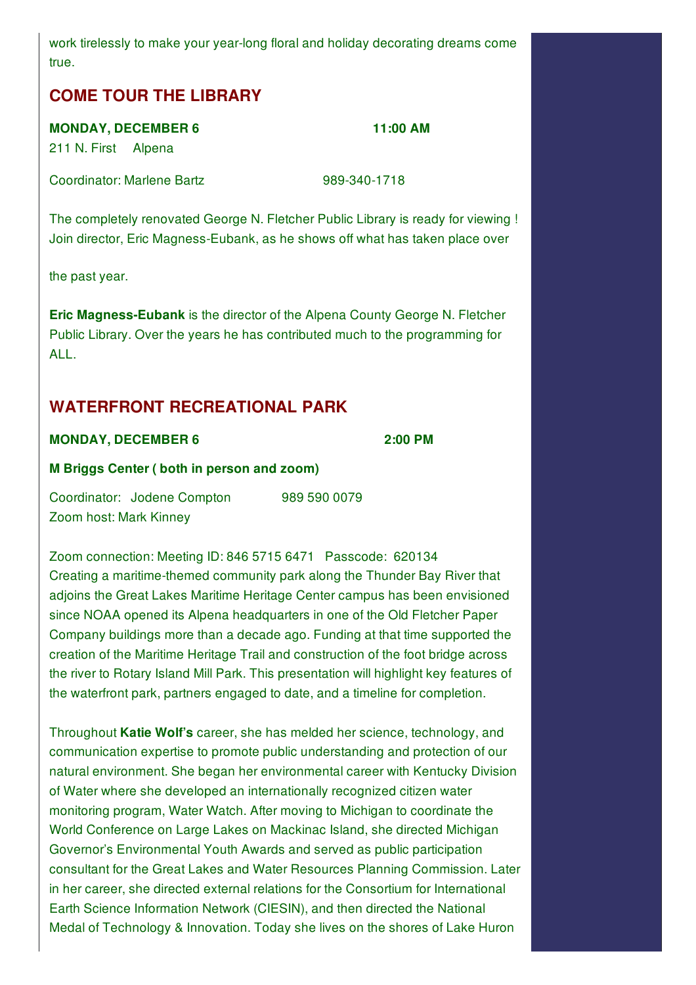work tirelessly to make your year-long floral and holiday decorating dreams come true.

## **COME TOUR THE LIBRARY**

### **MONDAY, DECEMBER 6 11:00 AM**

211 N. First Alpena

Coordinator: Marlene Bartz 989-340-1718

The completely renovated George N. Fletcher Public Library is ready for viewing ! Join director, Eric Magness-Eubank, as he shows off what has taken place over

the past year.

**Eric Magness-Eubank** is the director of the Alpena County George N. Fletcher Public Library. Over the years he has contributed much to the programming for ALL.

## **WATERFRONT RECREATIONAL PARK**

### **MONDAY, DECEMBER 6 2:00 PM**

### **M Briggs Center ( both in person and zoom)**

Coordinator: Jodene Compton 989 590 0079 Zoom host: Mark Kinney

Zoom connection: Meeting ID: 846 5715 6471 Passcode: 620134 Creating a maritime-themed community park along the Thunder Bay River that adjoins the Great Lakes Maritime Heritage Center campus has been envisioned since NOAA opened its Alpena headquarters in one of the Old Fletcher Paper Company buildings more than a decade ago. Funding at that time supported the creation of the Maritime Heritage Trail and construction of the foot bridge across the river to Rotary Island Mill Park. This presentation will highlight key features of the waterfront park, partners engaged to date, and a timeline for completion.

Throughout **Katie Wolf's** career, she has melded her science, technology, and communication expertise to promote public understanding and protection of our natural environment. She began her environmental career with Kentucky Division of Water where she developed an internationally recognized citizen water monitoring program, Water Watch. After moving to Michigan to coordinate the World Conference on Large Lakes on Mackinac Island, she directed Michigan Governor's Environmental Youth Awards and served as public participation consultant for the Great Lakes and Water Resources Planning Commission. Later in her career, she directed external relations for the Consortium for International Earth Science Information Network (CIESIN), and then directed the National Medal of Technology & Innovation. Today she lives on the shores of Lake Huron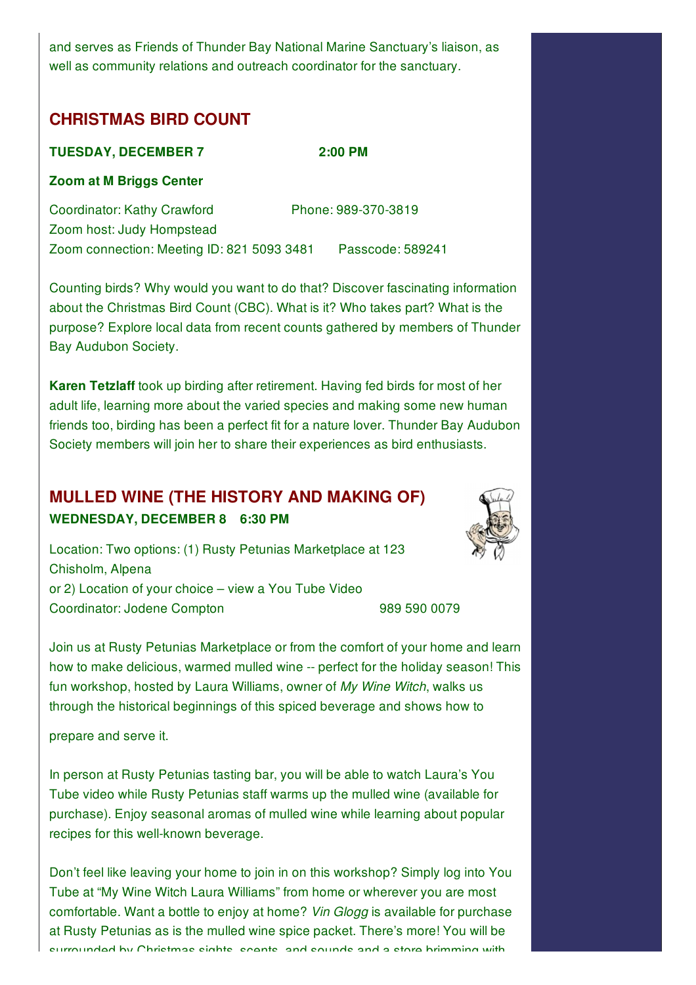and serves as Friends of Thunder Bay National Marine Sanctuary's liaison, as well as community relations and outreach coordinator for the sanctuary.

### **CHRISTMAS BIRD COUNT**

#### **TUESDAY, DECEMBER 7 2:00 PM**

### **Zoom at M Briggs Center**

Coordinator: Kathy Crawford Phone: 989-370-3819 Zoom host: Judy Hompstead Zoom connection: Meeting ID: 821 5093 3481 Passcode: 589241

Counting birds? Why would you want to do that? Discover fascinating information about the Christmas Bird Count (CBC). What is it? Who takes part? What is the purpose? Explore local data from recent counts gathered by members of Thunder Bay Audubon Society.

**Karen Tetzlaff** took up birding after retirement. Having fed birds for most of her adult life, learning more about the varied species and making some new human friends too, birding has been a perfect fit for a nature lover. Thunder Bay Audubon Society members will join her to share their experiences as bird enthusiasts.

# **MULLED WINE (THE HISTORY AND MAKING OF) WEDNESDAY, DECEMBER 8 6:30 PM**



Location: Two options: (1) Rusty Petunias Marketplace at 123 Chisholm, Alpena or 2) Location of your choice – view a You Tube Video Coordinator: Jodene Compton 989 590 0079

Join us at Rusty Petunias Marketplace or from the comfort of your home and learn how to make delicious, warmed mulled wine -- perfect for the holiday season! This fun workshop, hosted by Laura Williams, owner of *My Wine Witch*, walks us through the historical beginnings of this spiced beverage and shows how to

prepare and serve it.

In person at Rusty Petunias tasting bar, you will be able to watch Laura's You Tube video while Rusty Petunias staff warms up the mulled wine (available for purchase). Enjoy seasonal aromas of mulled wine while learning about popular recipes for this well-known beverage.

Don't feel like leaving your home to join in on this workshop? Simply log into You Tube at "My Wine Witch Laura Williams" from home or wherever you are most comfortable. Want a bottle to enjoy at home? *Vin Glogg* is available for purchase at Rusty Petunias as is the mulled wine spice packet. There's more! You will be surrounded by Christmas sights, scents, and sounds and a store brimming with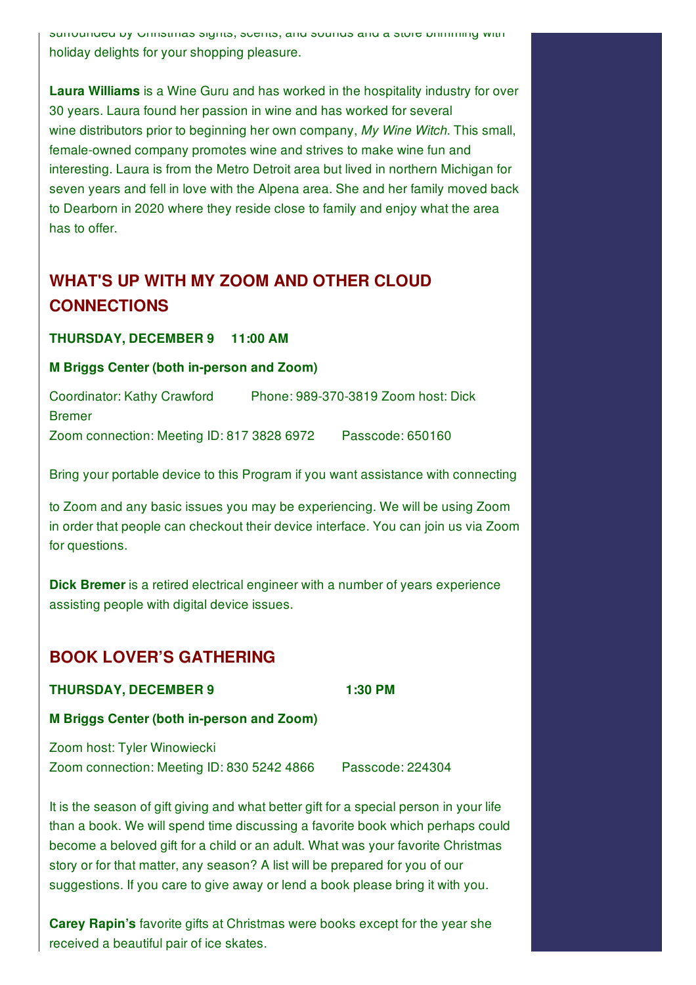surrounded by Christmas sights, scents, and sounds and a store brimming with holiday delights for your shopping pleasure.

**Laura Williams** is a Wine Guru and has worked in the hospitality industry for over 30 years. Laura found her passion in wine and has worked for several wine distributors prior to beginning her own company, *My Wine Witch*. This small, female-owned company promotes wine and strives to make wine fun and interesting. Laura is from the Metro Detroit area but lived in northern Michigan for seven years and fell in love with the Alpena area. She and her family moved back to Dearborn in 2020 where they reside close to family and enjoy what the area has to offer.

# **WHAT'S UP WITH MY ZOOM AND OTHER CLOUD CONNECTIONS**

#### **THURSDAY, DECEMBER 9 11:00 AM**

#### **M Briggs Center (both in-person and Zoom)**

Coordinator: Kathy Crawford Phone: 989-370-3819 Zoom host: Dick Bremer Zoom connection: Meeting ID: 817 3828 6972 Passcode: 650160

Bring your portable device to this Program if you want assistance with connecting

to Zoom and any basic issues you may be experiencing. We will be using Zoom in order that people can checkout their device interface. You can join us via Zoom for questions.

**Dick Bremer** is a retired electrical engineer with a number of years experience assisting people with digital device issues.

### **BOOK LOVER'S GATHERING**

#### **THURSDAY, DECEMBER 9 1:30 PM**

### **M Briggs Center (both in-person and Zoom)**

Zoom host: Tyler Winowiecki Zoom connection: Meeting ID: 830 5242 4866 Passcode: 224304

It is the season of gift giving and what better gift for a special person in your life than a book. We will spend time discussing a favorite book which perhaps could become a beloved gift for a child or an adult. What was your favorite Christmas story or for that matter, any season? A list will be prepared for you of our suggestions. If you care to give away or lend a book please bring it with you.

**Carey Rapin's** favorite gifts at Christmas were books except for the year she received a beautiful pair of ice skates.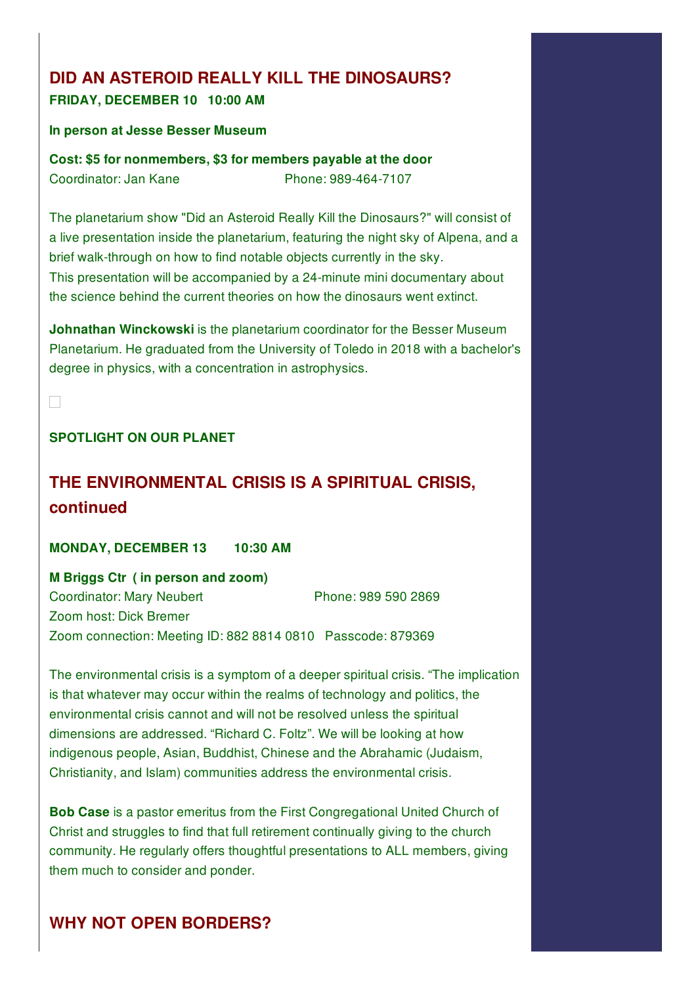# **DID AN ASTEROID REALLY KILL THE DINOSAURS?**

### **FRIDAY, DECEMBER 10 10:00 AM**

#### **In person at Jesse Besser Museum**

**Cost: \$5 for nonmembers, \$3 for members payable at the door** Coordinator: Jan Kane Phone: 989-464-7107

The planetarium show "Did an Asteroid Really Kill the Dinosaurs?" will consist of a live presentation inside the planetarium, featuring the night sky of Alpena, and a brief walk-through on how to find notable objects currently in the sky. This presentation will be accompanied by a 24-minute mini documentary about the science behind the current theories on how the dinosaurs went extinct.

**Johnathan Winckowski** is the planetarium coordinator for the Besser Museum Planetarium. He graduated from the University of Toledo in 2018 with a bachelor's degree in physics, with a concentration in astrophysics.

# $\overline{\phantom{a}}$

### **SPOTLIGHT ON OUR PLANET**

# **THE ENVIRONMENTAL CRISIS IS A SPIRITUAL CRISIS, continued**

### **MONDAY, DECEMBER 13 10:30 AM**

### **M Briggs Ctr ( in person and zoom)**

Coordinator: Mary Neubert Phone: 989 590 2869 Zoom host: Dick Bremer Zoom connection: Meeting ID: 882 8814 0810 Passcode: 879369

The environmental crisis is a symptom of a deeper spiritual crisis. "The implication is that whatever may occur within the realms of technology and politics, the environmental crisis cannot and will not be resolved unless the spiritual dimensions are addressed. "Richard C. Foltz". We will be looking at how indigenous people, Asian, Buddhist, Chinese and the Abrahamic (Judaism, Christianity, and Islam) communities address the environmental crisis.

**Bob Case** is a pastor emeritus from the First Congregational United Church of Christ and struggles to find that full retirement continually giving to the church community. He regularly offers thoughtful presentations to ALL members, giving them much to consider and ponder.

## **WHY NOT OPEN BORDERS?**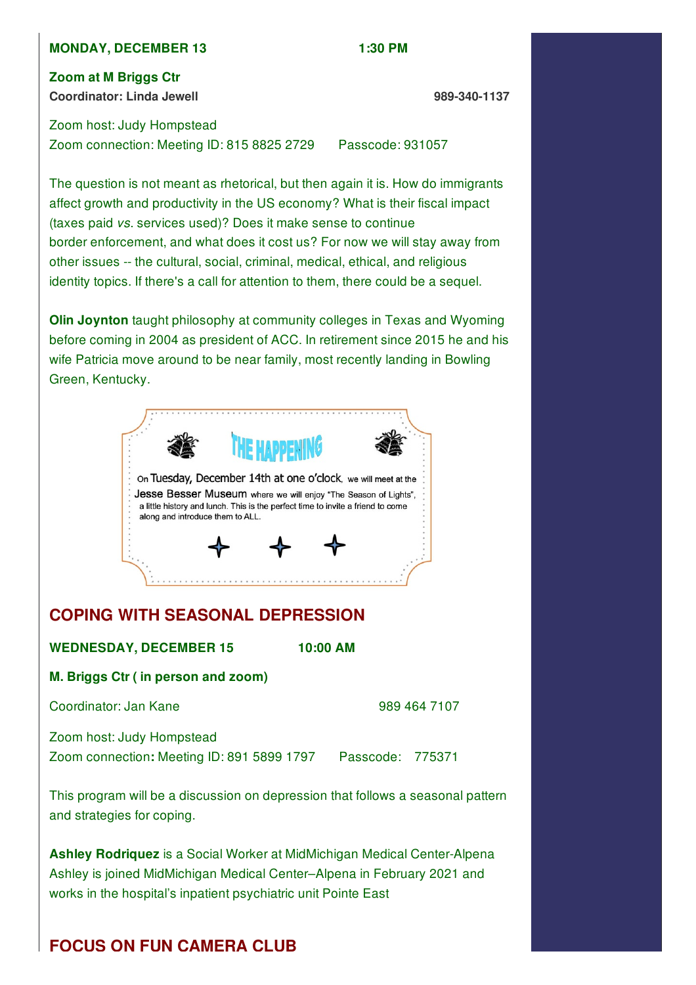### **MONDAY, DECEMBER 13 1:30 PM**

### **Zoom at M Briggs Ctr**

**Coordinator: Linda Jewell 989-340-1137**

Zoom host: Judy Hompstead Zoom connection: Meeting ID: 815 8825 2729 Passcode: 931057

The question is not meant as rhetorical, but then again it is. How do immigrants affect growth and productivity in the US economy? What is their fiscal impact (taxes paid *vs*. services used)? Does it make sense to continue border enforcement, and what does it cost us? For now we will stay away from other issues -- the cultural, social, criminal, medical, ethical, and religious identity topics. If there's a call for attention to them, there could be a sequel.

**Olin Joynton** taught philosophy at community colleges in Texas and Wyoming before coming in 2004 as president of ACC. In retirement since 2015 he and his wife Patricia move around to be near family, most recently landing in Bowling Green, Kentucky.



# **COPING WITH SEASONAL DEPRESSION**

**WEDNESDAY, DECEMBER 15 10:00 AM**

### **M. Briggs Ctr ( in person and zoom)**

Coordinator: Jan Kane 989 464 7107

Zoom host: Judy Hompstead

Zoom connection**:** Meeting ID: 891 5899 1797 Passcode: 775371

This program will be a discussion on depression that follows a seasonal pattern and strategies for coping.

**Ashley Rodriquez** is a Social Worker at MidMichigan Medical Center-Alpena Ashley is joined MidMichigan Medical Center–Alpena in February 2021 and works in the hospital's inpatient psychiatric unit Pointe East

# **FOCUS ON FUN CAMERA CLUB**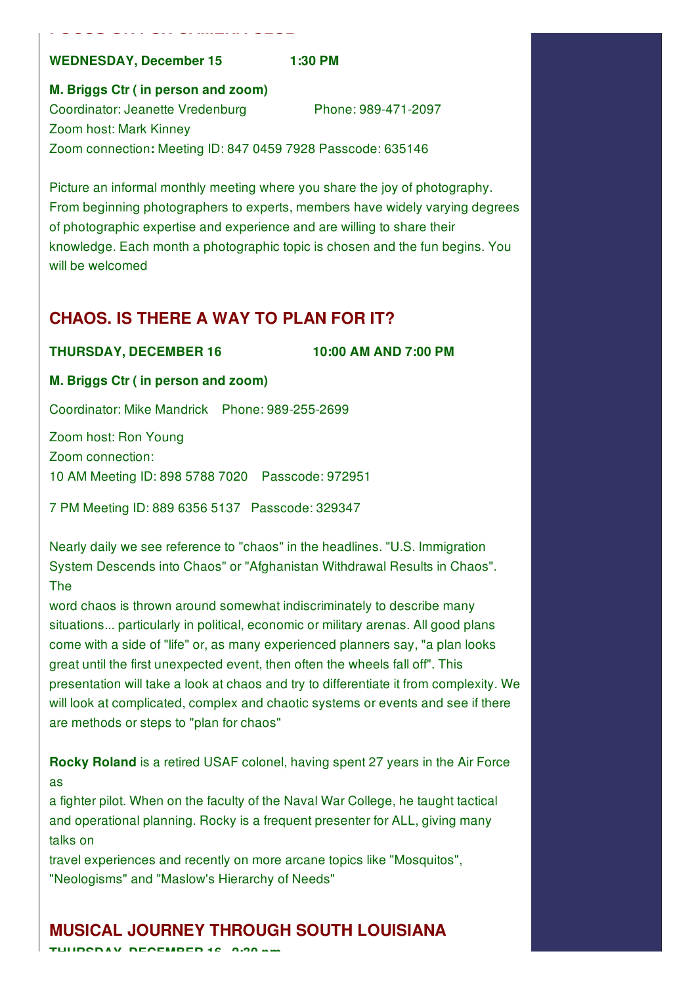### **WEDNESDAY, December 15 1:30 PM**

**FOCUS ON FUN CAMERA CLUB**

**M. Briggs Ctr ( in person and zoom)** Coordinator: Jeanette Vredenburg Phone: 989-471-2097 Zoom host: Mark Kinney Zoom connection**:** Meeting ID: 847 0459 7928 Passcode: 635146

Picture an informal monthly meeting where you share the joy of photography. From beginning photographers to experts, members have widely varying degrees of photographic expertise and experience and are willing to share their knowledge. Each month a photographic topic is chosen and the fun begins. You will be welcomed

## **CHAOS. IS THERE A WAY TO PLAN FOR IT?**

### **THURSDAY, DECEMBER 16 10:00 AM AND 7:00 PM**

### **M. Briggs Ctr ( in person and zoom)**

Coordinator: Mike Mandrick Phone: 989-255-2699

Zoom host: Ron Young Zoom connection: 10 AM Meeting ID: 898 5788 7020 Passcode: 972951

7 PM Meeting ID: 889 6356 5137 Passcode: 329347

Nearly daily we see reference to "chaos" in the headlines. "U.S. Immigration System Descends into Chaos" or "Afghanistan Withdrawal Results in Chaos". The

word chaos is thrown around somewhat indiscriminately to describe many situations... particularly in political, economic or military arenas. All good plans come with a side of "life" or, as many experienced planners say, "a plan looks great until the first unexpected event, then often the wheels fall off". This presentation will take a look at chaos and try to differentiate it from complexity. We will look at complicated, complex and chaotic systems or events and see if there are methods or steps to "plan for chaos"

**Rocky Roland** is a retired USAF colonel, having spent 27 years in the Air Force as

a fighter pilot. When on the faculty of the Naval War College, he taught tactical and operational planning. Rocky is a frequent presenter for ALL, giving many talks on

travel experiences and recently on more arcane topics like "Mosquitos", "Neologisms" and "Maslow's Hierarchy of Needs"

# **MUSICAL JOURNEY THROUGH SOUTH LOUISIANA**

**THURSDAY, DECEMBER 16 2:30 pm**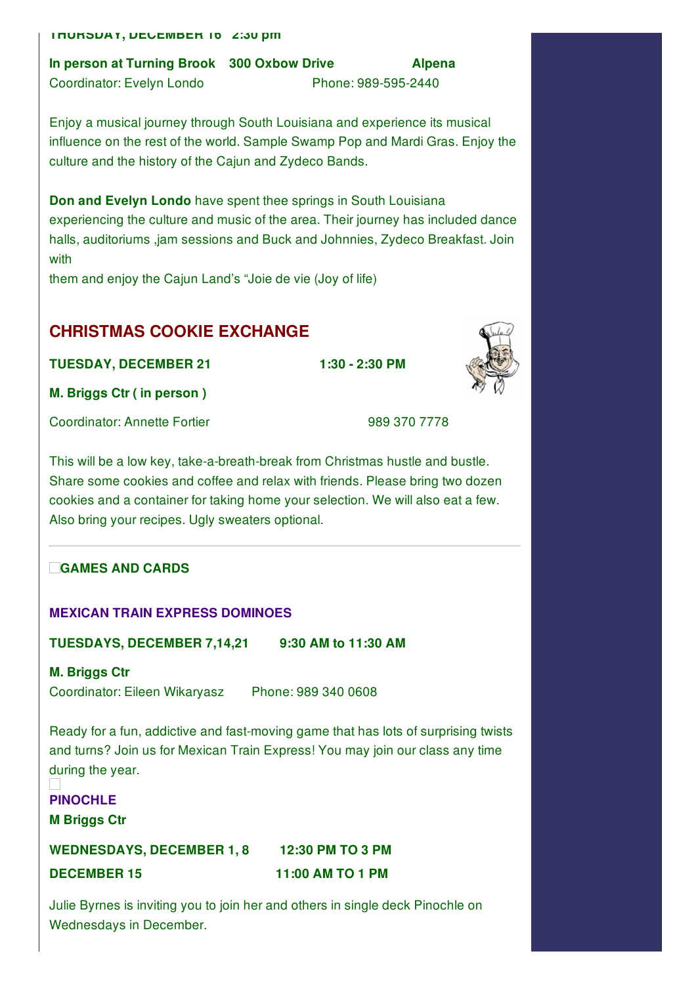#### **THURSDAY, DECEMBER 16 2:30 pm**

**In person at Turning Brook 300 Oxbow Drive Alpena** Coordinator: Evelyn Londo Phone: 989-595-2440

Enjoy a musical journey through South Louisiana and experience its musical influence on the rest of the world. Sample Swamp Pop and Mardi Gras. Enjoy the culture and the history of the Cajun and Zydeco Bands.

**Don and Evelyn Londo** have spent thee springs in South Louisiana experiencing the culture and music of the area. Their journey has included dance halls, auditoriums, jam sessions and Buck and Johnnies, Zydeco Breakfast, Join with

them and enjoy the Cajun Land's "Joie de vie (Joy of life)

# **CHRISTMAS COOKIE EXCHANGE**

**TUESDAY, DECEMBER 21 1:30 - 2:30 PM**



**M. Briggs Ctr ( in person )**

Coordinator: Annette Fortier **1989 370 7778** 

This will be a low key, take-a-breath-break from Christmas hustle and bustle. Share some cookies and coffee and relax with friends. Please bring two dozen cookies and a container for taking home your selection. We will also eat a few. Also bring your recipes. Ugly sweaters optional.

### **GAMES AND CARDS**

### **MEXICAN TRAIN EXPRESS DOMINOES**

**TUESDAYS, DECEMBER 7,14,21 9:30 AM to 11:30 AM**

**M. Briggs Ctr**

Coordinator: Eileen Wikaryasz Phone: 989 340 0608

Ready for a fun, addictive and fast-moving game that has lots of surprising twists and turns? Join us for Mexican Train Express! You may join our class any time during the year.

**PINOCHLE M Briggs Ctr**

**WEDNESDAYS, DECEMBER 1, 8 12:30 PM TO 3 PM DECEMBER 15 11:00 AM TO 1 PM**

Julie Byrnes is inviting you to join her and others in single deck Pinochle on Wednesdays in December.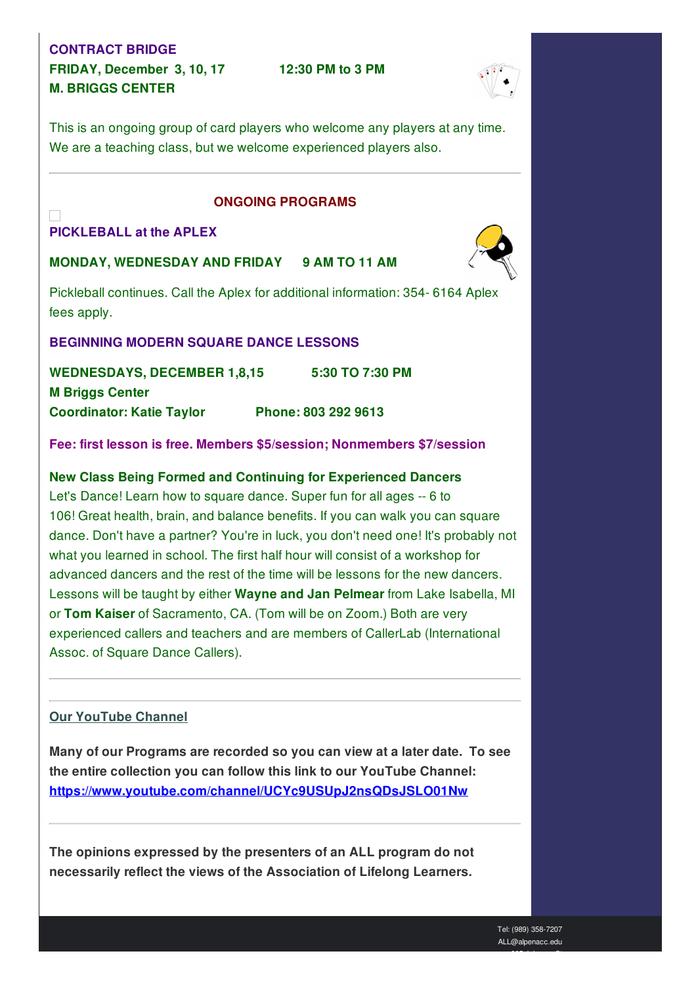### **CONTRACT BRIDGE FRIDAY, December 3, 10, 17 12:30 PM to 3 PM M. BRIGGS CENTER**



This is an ongoing group of card players who welcome any players at any time. We are a teaching class, but we welcome experienced players also.

### **ONGOING PROGRAMS**

**PICKLEBALL at the APLEX**

 $\overline{\phantom{a}}$ 

### **MONDAY, WEDNESDAY AND FRIDAY 9 AM TO 11 AM**

Pickleball continues. Call the Aplex for additional information: 354- 6164 Aplex fees apply.

**BEGINNING MODERN SQUARE DANCE LESSONS**

**WEDNESDAYS, DECEMBER 1,8,15 5:30 TO 7:30 PM M Briggs Center Coordinator: Katie Taylor Phone: 803 292 9613**

**Fee: first lesson is free. Members \$5/session; Nonmembers \$7/session**

### **New Class Being Formed and Continuing for Experienced Dancers**

Let's Dance! Learn how to square dance. Super fun for all ages -- 6 to 106! Great health, brain, and balance benefits. If you can walk you can square dance. Don't have a partner? You're in luck, you don't need one! It's probably not what you learned in school. The first half hour will consist of a workshop for advanced dancers and the rest of the time will be lessons for the new dancers. Lessons will be taught by either **Wayne and Jan Pelmear** from Lake Isabella, MI or **Tom Kaiser** of Sacramento, CA. (Tom will be on Zoom.) Both are very experienced callers and teachers and are members of CallerLab (International Assoc. of Square Dance Callers).

### **Our YouTube Channel**

**Many of our Programs are recorded so you can view at a later date. To see the entire collection you can follow this link to our YouTube Channel: https://www.youtube.com/channel/UCYc9USUpJ2nsQDsJSLO01Nw**

**The opinions expressed by the presenters of an ALL program do not necessarily reflect the views of the Association of Lifelong Learners.**

665 Johnson St